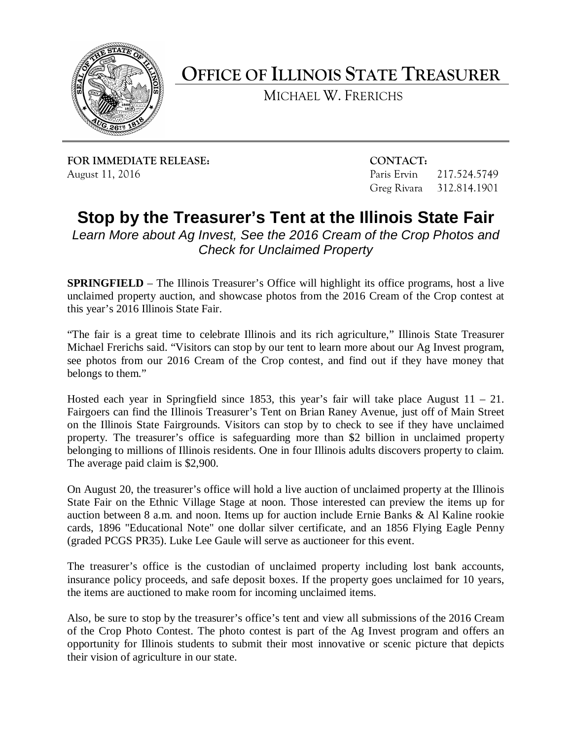

**OFFICE OF ILLINOIS STATE TREASURER**

MICHAEL W. FRERICHS

**FOR IMMEDIATE RELEASE: CONTACT:** August 11, 2016 **Paris Ervin 217.524.5749** Paris Ervin 217.524.5749

Greg Rivara 312.814.1901

**Stop by the Treasurer's Tent at the Illinois State Fair**

*Learn More about Ag Invest, See the 2016 Cream of the Crop Photos and Check for Unclaimed Property*

**SPRINGFIELD** – The Illinois Treasurer's Office will highlight its office programs, host a live unclaimed property auction, and showcase photos from the 2016 Cream of the Crop contest at this year's 2016 Illinois State Fair.

"The fair is a great time to celebrate Illinois and its rich agriculture," Illinois State Treasurer Michael Frerichs said. "Visitors can stop by our tent to learn more about our Ag Invest program, see photos from our 2016 Cream of the Crop contest, and find out if they have money that belongs to them."

Hosted each year in Springfield since 1853, this year's fair will take place August  $11 - 21$ . Fairgoers can find the Illinois Treasurer's Tent on Brian Raney Avenue, just off of Main Street on the Illinois State Fairgrounds. Visitors can stop by to check to see if they have unclaimed property. The treasurer's office is safeguarding more than \$2 billion in unclaimed property belonging to millions of Illinois residents. One in four Illinois adults discovers property to claim. The average paid claim is \$2,900.

On August 20, the treasurer's office will hold a live auction of unclaimed property at the Illinois State Fair on the Ethnic Village Stage at noon. Those interested can preview the items up for auction between 8 a.m. and noon. Items up for auction include Ernie Banks & Al Kaline rookie cards, 1896 "Educational Note" one dollar silver certificate, and an 1856 Flying Eagle Penny (graded PCGS PR35). Luke Lee Gaule will serve as auctioneer for this event.

The treasurer's office is the custodian of unclaimed property including lost bank accounts, insurance policy proceeds, and safe deposit boxes. If the property goes unclaimed for 10 years, the items are auctioned to make room for incoming unclaimed items.

Also, be sure to stop by the treasurer's office's tent and view all submissions of the 2016 Cream of the Crop Photo Contest. The photo contest is part of the Ag Invest program and offers an opportunity for Illinois students to submit their most innovative or scenic picture that depicts their vision of agriculture in our state.